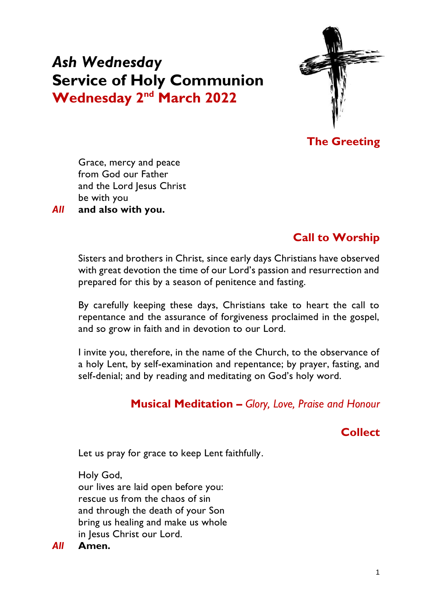# *Ash Wednesday* **Service of Holy Communion Wednesday** 2<sup>nd</sup> March 2022



**The Greeting**

Grace, mercy and peace from God our Father and the Lord Jesus Christ be with you *All* **and also with you.**

# **Call to Worship**

Sisters and brothers in Christ, since early days Christians have observed with great devotion the time of our Lord's passion and resurrection and prepared for this by a season of penitence and fasting.

By carefully keeping these days, Christians take to heart the call to repentance and the assurance of forgiveness proclaimed in the gospel, and so grow in faith and in devotion to our Lord.

I invite you, therefore, in the name of the Church, to the observance of a holy Lent, by self-examination and repentance; by prayer, fasting, and self-denial; and by reading and meditating on God's holy word.

## **Musical Meditation –** *Glory, Love, Praise and Honour*

## **Collect**

Let us pray for grace to keep Lent faithfully.

Holy God, our lives are laid open before you: rescue us from the chaos of sin and through the death of your Son bring us healing and make us whole in Jesus Christ our Lord.

*All* **Amen.**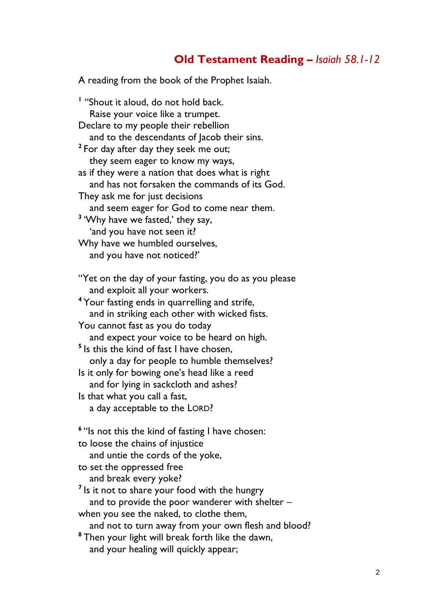## **Old Testament Reading** *– Isaiah 58.1-12*

A reading from the book of the Prophet Isaiah.

**1** "Shout it aloud, do not hold back. Raise your voice like a trumpet. Declare to my people their rebellion and to the descendants of lacob their sins. **2** For day after day they seek me out; they seem eager to know my ways, as if they were a nation that does what is right and has not forsaken the commands of its God. They ask me for just decisions and seem eager for God to come near them. **3** 'Why have we fasted,' they say, 'and you have not seen it? Why have we humbled ourselves, and you have not noticed?' "Yet on the day of your fasting, you do as you please and exploit all your workers. **<sup>4</sup>** Your fasting ends in quarrelling and strife, and in striking each other with wicked fists. You cannot fast as you do today and expect your voice to be heard on high. **5** Is this the kind of fast I have chosen, only a day for people to humble themselves? Is it only for bowing one's head like a reed and for lying in sackcloth and ashes? Is that what you call a fast, a day acceptable to the LORD? **6** "Is not this the kind of fasting I have chosen: to loose the chains of injustice and untie the cords of the yoke, to set the oppressed free and break every yoke? <sup>7</sup> Is it not to share your food with the hungry and to provide the poor wanderer with shelter – when you see the naked, to clothe them, and not to turn away from your own flesh and blood? **<sup>8</sup>** Then your light will break forth like the dawn, and your healing will quickly appear;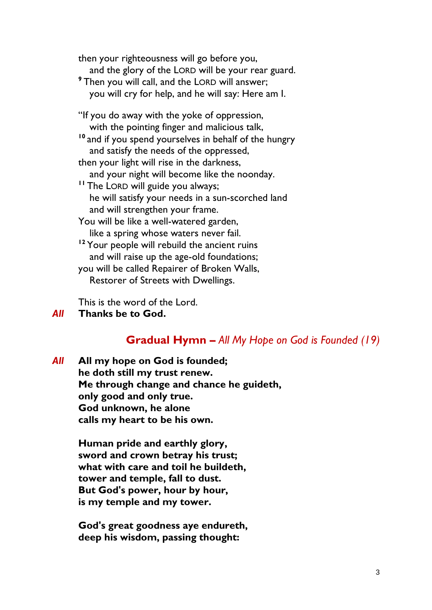then your righteousness will go before you, and the glory of the LORD will be your rear guard. **<sup>9</sup>** Then you will call, and the LORD will answer; you will cry for help, and he will say: Here am I. "If you do away with the yoke of oppression, with the pointing finger and malicious talk, **<sup>10</sup>** and if you spend yourselves in behalf of the hungry and satisfy the needs of the oppressed, then your light will rise in the darkness, and your night will become like the noonday. **<sup>11</sup>** The LORD will guide you always; he will satisfy your needs in a sun-scorched land and will strengthen your frame. You will be like a well-watered garden, like a spring whose waters never fail. <sup>12</sup> Your people will rebuild the ancient ruins and will raise up the age-old foundations; you will be called Repairer of Broken Walls, Restorer of Streets with Dwellings.

This is the word of the Lord.

## *All* **Thanks be to God.**

### **Gradual Hymn –** *All My Hope on God is Founded (19)*

*All* **All my hope on God is founded; he doth still my trust renew. Me through change and chance he guideth, only good and only true. God unknown, he alone calls my heart to be his own.**

> **Human pride and earthly glory, sword and crown betray his trust; what with care and toil he buildeth, tower and temple, fall to dust. But God's power, hour by hour, is my temple and my tower.**

> **God's great goodness aye endureth, deep his wisdom, passing thought:**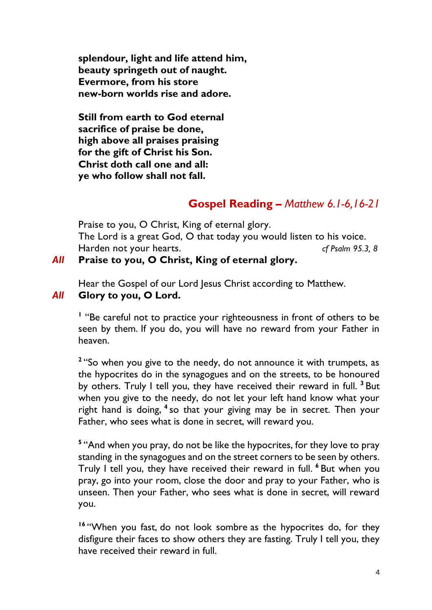**splendour, light and life attend him, beauty springeth out of naught. Evermore, from his store new-born worlds rise and adore.**

**Still from earth to God eternal sacrifice of praise be done, high above all praises praising for the gift of Christ his Son. Christ doth call one and all: ye who follow shall not fall.**

## **Gospel Reading** *– Matthew 6.1-6,16-21*

Praise to you, O Christ, King of eternal glory. The Lord is a great God, O that today you would listen to his voice. Harden not your hearts. *cf Psalm 95.3, 8*

## *All* **Praise to you, O Christ, King of eternal glory.**

Hear the Gospel of our Lord Jesus Christ according to Matthew.

*All* **Glory to you, O Lord.**

<sup>1</sup> "Be careful not to practice your righteousness in front of others to be seen by them. If you do, you will have no reward from your Father in heaven.

<sup>2</sup> "So when you give to the needy, do not announce it with trumpets, as the hypocrites do in the synagogues and on the streets, to be honoured by others. Truly I tell you, they have received their reward in full. **<sup>3</sup>** But when you give to the needy, do not let your left hand know what your right hand is doing, **<sup>4</sup>** so that your giving may be in secret. Then your Father, who sees what is done in secret, will reward you.

<sup>5</sup> "And when you pray, do not be like the hypocrites, for they love to pray standing in the synagogues and on the street corners to be seen by others. Truly I tell you, they have received their reward in full. **<sup>6</sup>** But when you pray, go into your room, close the door and pray to your Father, who is unseen. Then your Father, who sees what is done in secret, will reward you.

**<sup>16</sup>** "When you fast, do not look sombre as the hypocrites do, for they disfigure their faces to show others they are fasting. Truly I tell you, they have received their reward in full.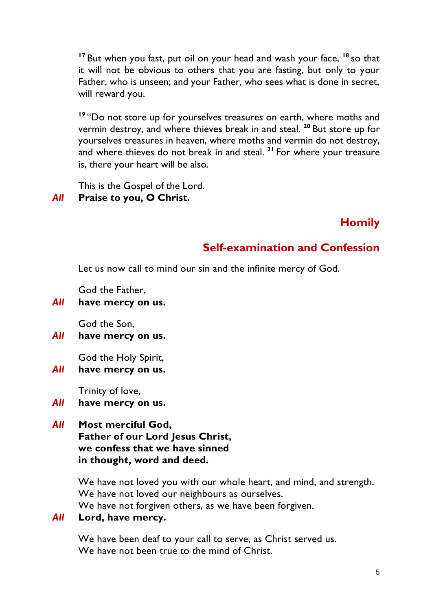**<sup>17</sup>** But when you fast, put oil on your head and wash your face, **<sup>18</sup>** so that it will not be obvious to others that you are fasting, but only to your Father, who is unseen; and your Father, who sees what is done in secret, will reward you.

**<sup>19</sup>** "Do not store up for yourselves treasures on earth, where moths and vermin destroy, and where thieves break in and steal. **<sup>20</sup>** But store up for yourselves treasures in heaven, where moths and vermin do not destroy, and where thieves do not break in and steal. **<sup>21</sup>** For where your treasure is, there your heart will be also.

This is the Gospel of the Lord.

## *All* **Praise to you, O Christ.**

## **Homily**

## **Self-examination and Confession**

Let us now call to mind our sin and the infinite mercy of God.

God the Father,

*All* **have mercy on us.**

God the Son,

*All* **have mercy on us.**

God the Holy Spirit,

*All* **have mercy on us.**

Trinity of love,

- *All* **have mercy on us.**
- *All* **Most merciful God, Father of our Lord Jesus Christ, we confess that we have sinned in thought, word and deed.**

We have not loved you with our whole heart, and mind, and strength. We have not loved our neighbours as ourselves.

We have not forgiven others, as we have been forgiven.

### *All* **Lord, have mercy.**

We have been deaf to your call to serve, as Christ served us. We have not been true to the mind of Christ.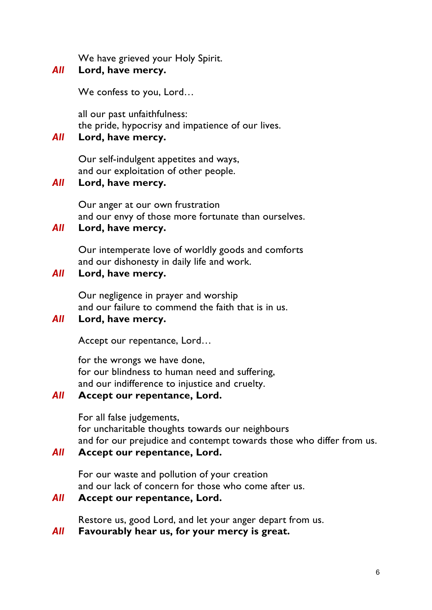We have grieved your Holy Spirit.

## *All* **Lord, have mercy.**

We confess to you, Lord…

all our past unfaithfulness: the pride, hypocrisy and impatience of our lives.

and our envy of those more fortunate than ourselves.

Our intemperate love of worldly goods and comforts

and our failure to commend the faith that is in us.

for our blindness to human need and suffering, and our indifference to injustice and cruelty.

for uncharitable thoughts towards our neighbours

and our lack of concern for those who come after us.

Restore us, good Lord, and let your anger depart from us.

For our waste and pollution of your creation

*All* **Favourably hear us, for your mercy is great.**

and for our prejudice and contempt towards those who differ from us.

6

### *All* **Lord, have mercy.**

*All* **Lord, have mercy.**

*All* **Lord, have mercy.**

*All* **Lord, have mercy.**

Our self-indulgent appetites and ways, and our exploitation of other people.

and our dishonesty in daily life and work.

Our negligence in prayer and worship

Accept our repentance, Lord…

for the wrongs we have done,

*All* **Accept our repentance, Lord.**

*All* **Accept our repentance, Lord.**

*All* **Accept our repentance, Lord.**

For all false judgements,

Our anger at our own frustration

# *All* **Lord, have mercy.**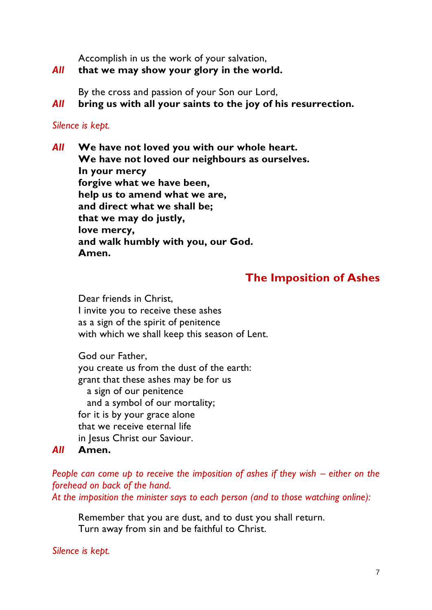Accomplish in us the work of your salvation,

### *All* **that we may show your glory in the world.**

By the cross and passion of your Son our Lord,

*All* **bring us with all your saints to the joy of his resurrection.**

### *Silence is kept.*

*All* **We have not loved you with our whole heart. We have not loved our neighbours as ourselves. In your mercy forgive what we have been, help us to amend what we are, and direct what we shall be; that we may do justly, love mercy, and walk humbly with you, our God. Amen.**

## **The Imposition of Ashes**

Dear friends in Christ, I invite you to receive these ashes as a sign of the spirit of penitence with which we shall keep this season of Lent.

God our Father, you create us from the dust of the earth: grant that these ashes may be for us a sign of our penitence and a symbol of our mortality; for it is by your grace alone that we receive eternal life in Jesus Christ our Saviour.

## *All* **Amen.**

*People can come up to receive the imposition of ashes if they wish – either on the forehead on back of the hand.* 

*At the imposition the minister says to each person (and to those watching online):*

Remember that you are dust, and to dust you shall return. Turn away from sin and be faithful to Christ.

*Silence is kept.*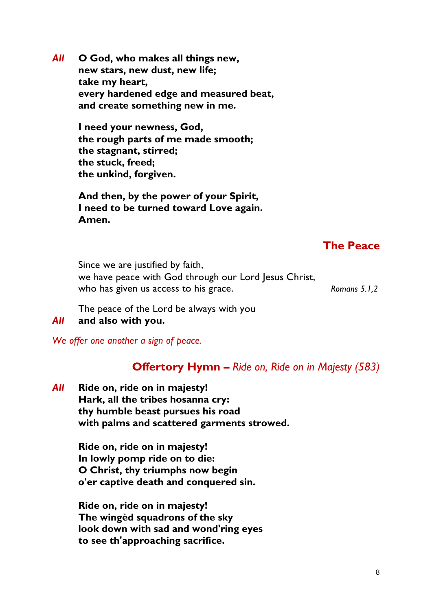*All* **O God, who makes all things new, new stars, new dust, new life; take my heart, every hardened edge and measured beat, and create something new in me.**

> **I need your newness, God, the rough parts of me made smooth; the stagnant, stirred; the stuck, freed; the unkind, forgiven.**

**And then, by the power of your Spirit, I need to be turned toward Love again. Amen.**

## **The Peace**

Since we are justified by faith, we have peace with God through our Lord Jesus Christ, who has given us access to his grace. *Romans 5.1,2 Romans 5.1,2* 

The peace of the Lord be always with you

### *All* **and also with you.**

*We offer one another a sign of peace.*

## **Offertory Hymn –** *Ride on, Ride on in Majesty (583)*

*All* **Ride on, ride on in majesty! Hark, all the tribes hosanna cry: thy humble beast pursues his road with palms and scattered garments strowed.**

> **Ride on, ride on in majesty! In lowly pomp ride on to die: O Christ, thy triumphs now begin o'er captive death and conquered sin.**

**Ride on, ride on in majesty! The wingèd squadrons of the sky look down with sad and wond'ring eyes to see th'approaching sacrifice.**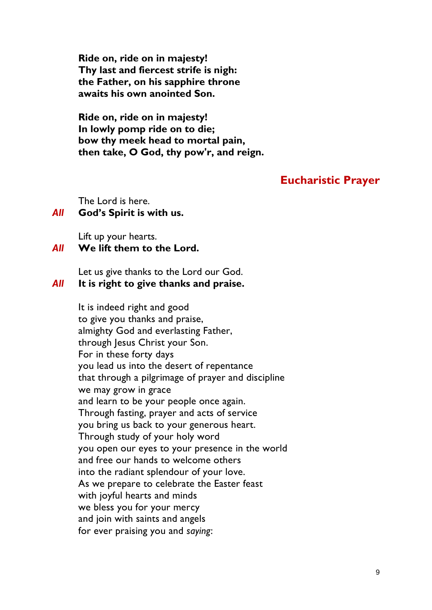**Ride on, ride on in majesty! Thy last and fiercest strife is nigh: the Father, on his sapphire throne awaits his own anointed Son.**

**Ride on, ride on in majesty! In lowly pomp ride on to die; bow thy meek head to mortal pain, then take, O God, thy pow'r, and reign.**

## **Eucharistic Prayer**

The Lord is here.

### *All* **God's Spirit is with us.**

Lift up your hearts.

### *All* **We lift them to the Lord.**

Let us give thanks to the Lord our God.

### *All* **It is right to give thanks and praise.**

It is indeed right and good to give you thanks and praise, almighty God and everlasting Father, through Jesus Christ your Son. For in these forty days you lead us into the desert of repentance that through a pilgrimage of prayer and discipline we may grow in grace and learn to be your people once again. Through fasting, prayer and acts of service you bring us back to your generous heart. Through study of your holy word you open our eyes to your presence in the world and free our hands to welcome others into the radiant splendour of your love. As we prepare to celebrate the Easter feast with joyful hearts and minds we bless you for your mercy and join with saints and angels for ever praising you and *saying*: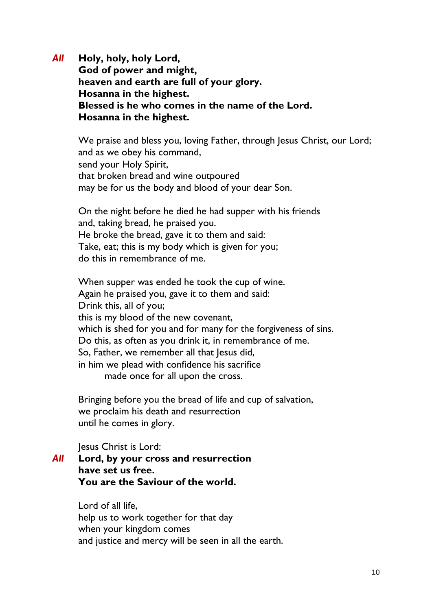*All* **Holy, holy, holy Lord, God of power and might, heaven and earth are full of your glory. Hosanna in the highest. Blessed is he who comes in the name of the Lord. Hosanna in the highest.**

We praise and bless you, loving Father, through Jesus Christ, our Lord; and as we obey his command, send your Holy Spirit, that broken bread and wine outpoured may be for us the body and blood of your dear Son.

On the night before he died he had supper with his friends and, taking bread, he praised you. He broke the bread, gave it to them and said: Take, eat; this is my body which is given for you; do this in remembrance of me.

When supper was ended he took the cup of wine. Again he praised you, gave it to them and said: Drink this, all of you; this is my blood of the new covenant, which is shed for you and for many for the forgiveness of sins. Do this, as often as you drink it, in remembrance of me. So, Father, we remember all that Jesus did, in him we plead with confidence his sacrifice made once for all upon the cross.

Bringing before you the bread of life and cup of salvation, we proclaim his death and resurrection until he comes in glory.

Jesus Christ is Lord:

*All* **Lord, by your cross and resurrection have set us free. You are the Saviour of the world.**

> Lord of all life, help us to work together for that day when your kingdom comes and justice and mercy will be seen in all the earth.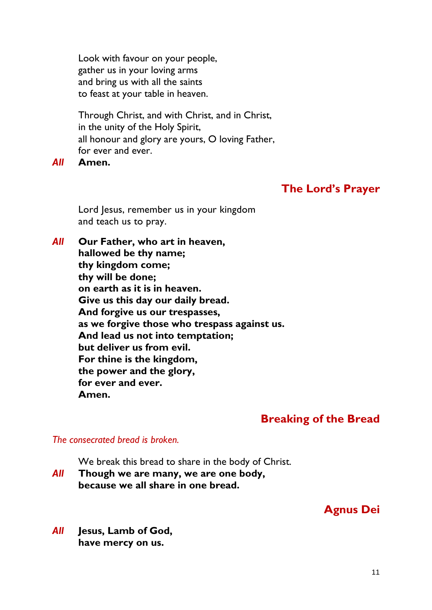Look with favour on your people, gather us in your loving arms and bring us with all the saints to feast at your table in heaven.

Through Christ, and with Christ, and in Christ, in the unity of the Holy Spirit, all honour and glory are yours, O loving Father, for ever and ever.

*All* **Amen.**

## **The Lord's Prayer**

Lord Jesus, remember us in your kingdom and teach us to pray.

*All* **Our Father, who art in heaven, hallowed be thy name; thy kingdom come; thy will be done; on earth as it is in heaven. Give us this day our daily bread. And forgive us our trespasses, as we forgive those who trespass against us. And lead us not into temptation; but deliver us from evil. For thine is the kingdom, the power and the glory, for ever and ever. Amen.**

## **Breaking of the Bread**

### *The consecrated bread is broken.*

We break this bread to share in the body of Christ.

*All* **Though we are many, we are one body, because we all share in one bread.**

## **Agnus Dei**

*All* **Jesus, Lamb of God, have mercy on us.**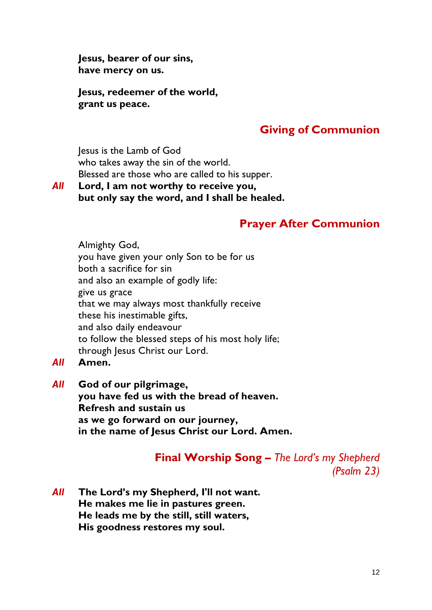**Jesus, bearer of our sins, have mercy on us.**

**Jesus, redeemer of the world, grant us peace.**

## **Giving of Communion**

Jesus is the Lamb of God who takes away the sin of the world. Blessed are those who are called to his supper.

### *All* **Lord, I am not worthy to receive you, but only say the word, and I shall be healed.**

## **Prayer After Communion**

Almighty God, you have given your only Son to be for us both a sacrifice for sin and also an example of godly life: give us grace that we may always most thankfully receive these his inestimable gifts, and also daily endeavour to follow the blessed steps of his most holy life; through Jesus Christ our Lord.

- *All* **Amen.**
- *All* **God of our pilgrimage, you have fed us with the bread of heaven. Refresh and sustain us as we go forward on our journey, in the name of Jesus Christ our Lord. Amen.**

**Final Worship Song –** *The Lord's my Shepherd (Psalm 23)*

*All* **The Lord's my Shepherd, I'll not want. He makes me lie in pastures green. He leads me by the still, still waters, His goodness restores my soul.**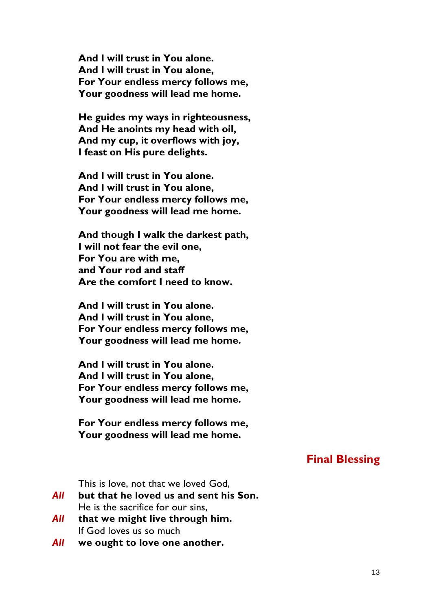**And I will trust in You alone. And I will trust in You alone, For Your endless mercy follows me, Your goodness will lead me home.**

**He guides my ways in righteousness, And He anoints my head with oil, And my cup, it overflows with joy, I feast on His pure delights.**

**And I will trust in You alone. And I will trust in You alone, For Your endless mercy follows me, Your goodness will lead me home.**

**And though I walk the darkest path, I will not fear the evil one, For You are with me, and Your rod and staff Are the comfort I need to know.**

**And I will trust in You alone. And I will trust in You alone, For Your endless mercy follows me, Your goodness will lead me home.**

**And I will trust in You alone. And I will trust in You alone, For Your endless mercy follows me, Your goodness will lead me home.**

**For Your endless mercy follows me, Your goodness will lead me home.**

## **Final Blessing**

This is love, not that we loved God,

- *All* **but that he loved us and sent his Son.** He is the sacrifice for our sins,
- *All* **that we might live through him.** If God loves us so much
- *All* **we ought to love one another.**